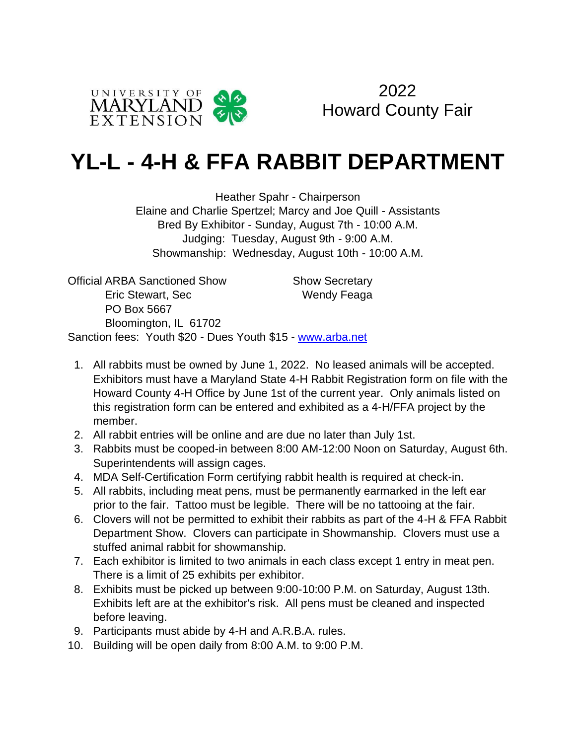



# **YL-L - 4-H & FFA RABBIT DEPARTMENT**

Heather Spahr - Chairperson Elaine and Charlie Spertzel; Marcy and Joe Quill - Assistants Bred By Exhibitor - Sunday, August 7th - 10:00 A.M. Judging: Tuesday, August 9th - 9:00 A.M. Showmanship: Wednesday, August 10th - 10:00 A.M.

Official ARBA Sanctioned Show Show Secretary Eric Stewart, Sec Wendy Feaga PO Box 5667 Bloomington, IL 61702 Sanction fees: Youth \$20 - Dues Youth \$15 - www.arba.net

- 1. All rabbits must be owned by June 1, 2022. No leased animals will be accepted. Exhibitors must have a Maryland State 4-H Rabbit Registration form on file with the Howard County 4-H Office by June 1st of the current year. Only animals listed on this registration form can be entered and exhibited as a 4-H/FFA project by the member.
- 2. All rabbit entries will be online and are due no later than July 1st.
- 3. Rabbits must be cooped-in between 8:00 AM-12:00 Noon on Saturday, August 6th. Superintendents will assign cages.
- 4. MDA Self-Certification Form certifying rabbit health is required at check-in.
- 5. All rabbits, including meat pens, must be permanently earmarked in the left ear prior to the fair. Tattoo must be legible. There will be no tattooing at the fair.
- 6. Clovers will not be permitted to exhibit their rabbits as part of the 4-H & FFA Rabbit Department Show. Clovers can participate in Showmanship. Clovers must use a stuffed animal rabbit for showmanship.
- 7. Each exhibitor is limited to two animals in each class except 1 entry in meat pen. There is a limit of 25 exhibits per exhibitor.
- 8. Exhibits must be picked up between 9:00-10:00 P.M. on Saturday, August 13th. Exhibits left are at the exhibitor's risk. All pens must be cleaned and inspected before leaving.
- 9. Participants must abide by 4-H and A.R.B.A. rules.
- 10. Building will be open daily from 8:00 A.M. to 9:00 P.M.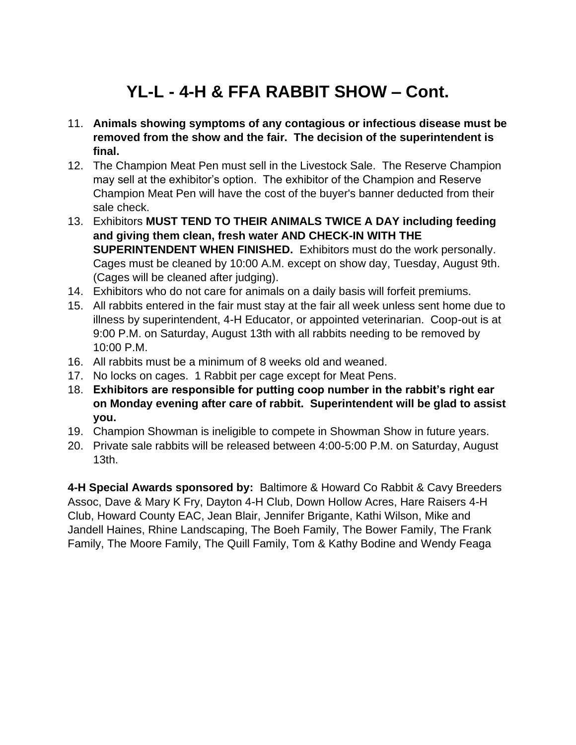# **YL-L - 4-H & FFA RABBIT SHOW – Cont.**

- 11. **Animals showing symptoms of any contagious or infectious disease must be removed from the show and the fair. The decision of the superintendent is final.**
- 12. The Champion Meat Pen must sell in the Livestock Sale. The Reserve Champion may sell at the exhibitor's option. The exhibitor of the Champion and Reserve Champion Meat Pen will have the cost of the buyer's banner deducted from their sale check.
- 13. Exhibitors **MUST TEND TO THEIR ANIMALS TWICE A DAY including feeding and giving them clean, fresh water AND CHECK-IN WITH THE SUPERINTENDENT WHEN FINISHED.** Exhibitors must do the work personally. Cages must be cleaned by 10:00 A.M. except on show day, Tuesday, August 9th. (Cages will be cleaned after judging).
- 14. Exhibitors who do not care for animals on a daily basis will forfeit premiums.
- 15. All rabbits entered in the fair must stay at the fair all week unless sent home due to illness by superintendent, 4-H Educator, or appointed veterinarian. Coop-out is at 9:00 P.M. on Saturday, August 13th with all rabbits needing to be removed by 10:00 P.M.
- 16. All rabbits must be a minimum of 8 weeks old and weaned.
- 17. No locks on cages. 1 Rabbit per cage except for Meat Pens.
- 18. **Exhibitors are responsible for putting coop number in the rabbit's right ear on Monday evening after care of rabbit. Superintendent will be glad to assist you.**
- 19. Champion Showman is ineligible to compete in Showman Show in future years.
- 20. Private sale rabbits will be released between 4:00-5:00 P.M. on Saturday, August 13th.

**4-H Special Awards sponsored by:** Baltimore & Howard Co Rabbit & Cavy Breeders Assoc, Dave & Mary K Fry, Dayton 4-H Club, Down Hollow Acres, Hare Raisers 4-H Club, Howard County EAC, Jean Blair, Jennifer Brigante, Kathi Wilson, Mike and Jandell Haines, Rhine Landscaping, The Boeh Family, The Bower Family, The Frank Family, The Moore Family, The Quill Family, Tom & Kathy Bodine and Wendy Feaga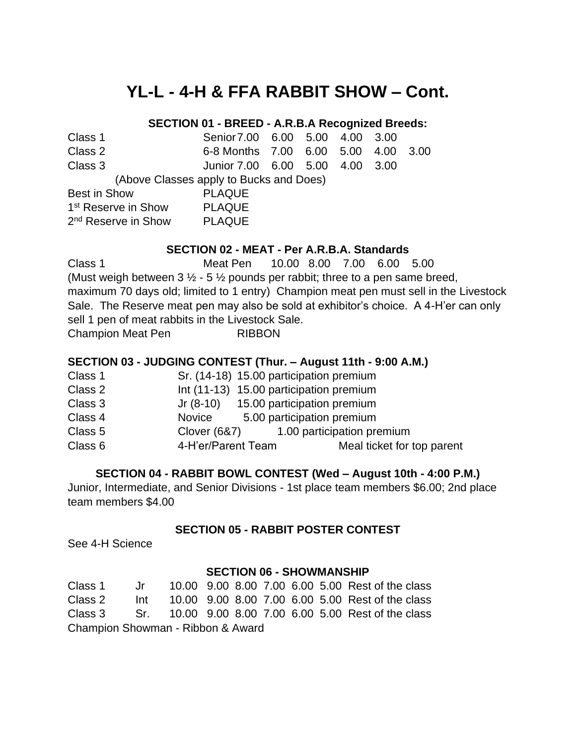## **YL-L - 4-H & FFA RABBIT SHOW – Cont.**

#### **SECTION 01 - BREED - A.R.B.A Recognized Breeds:**

| Class 1 | Senior 7.00 6.00 5.00 4.00 3.00         |  |  |  |
|---------|-----------------------------------------|--|--|--|
| Class 2 | 6-8 Months 7.00 6.00 5.00 4.00 3.00     |  |  |  |
| Class 3 | Junior 7.00   6.00   5.00   4.00   3.00 |  |  |  |

(Above Classes apply to Bucks and Does)

| <b>Best in Show</b>             | <b>PLAQUE</b> |
|---------------------------------|---------------|
| 1 <sup>st</sup> Reserve in Show | <b>PLAQUE</b> |
| 2 <sup>nd</sup> Reserve in Show | <b>PLAQUE</b> |

#### **SECTION 02 - MEAT - Per A.R.B.A. Standards**

Class 1 Meat Pen 10.00 8.00 7.00 6.00 5.00 (Must weigh between  $3\frac{1}{2}$  - 5  $\frac{1}{2}$  pounds per rabbit; three to a pen same breed, maximum 70 days old; limited to 1 entry) Champion meat pen must sell in the Livestock Sale. The Reserve meat pen may also be sold at exhibitor's choice. A 4-H'er can only sell 1 pen of meat rabbits in the Livestock Sale. Champion Meat Pen RIBBON

#### **SECTION 03 - JUDGING CONTEST (Thur. – August 11th - 9:00 A.M.)**

| Class 1 | Sr. (14-18) 15.00 participation premium |                            |
|---------|-----------------------------------------|----------------------------|
| Class 2 | Int (11-13) 15.00 participation premium |                            |
| Class 3 | Jr (8-10) 15.00 participation premium   |                            |
| Class 4 | Novice                                  | 5.00 participation premium |
| Class 5 | Clover (6&7)                            | 1.00 participation premium |
| Class 6 | 4-H'er/Parent Team                      | Meal ticket for top parent |

#### **SECTION 04 - RABBIT BOWL CONTEST (Wed – August 10th - 4:00 P.M.)**

Junior, Intermediate, and Senior Divisions - 1st place team members \$6.00; 2nd place team members \$4.00

#### **SECTION 05 - RABBIT POSTER CONTEST**

See 4-H Science

#### **SECTION 06 - SHOWMANSHIP**

| Class 1                           |       |  |  |  |  |  | Jr 10.00 9.00 8.00 7.00 6.00 5.00 Rest of the class          |
|-----------------------------------|-------|--|--|--|--|--|--------------------------------------------------------------|
| Class 2                           | lnt t |  |  |  |  |  | 10.00 9.00 8.00 7.00 6.00 5.00 Rest of the class             |
|                                   |       |  |  |  |  |  | Class 3 Sr. 10.00 9.00 8.00 7.00 6.00 5.00 Rest of the class |
| Champion Showman - Ribbon & Award |       |  |  |  |  |  |                                                              |